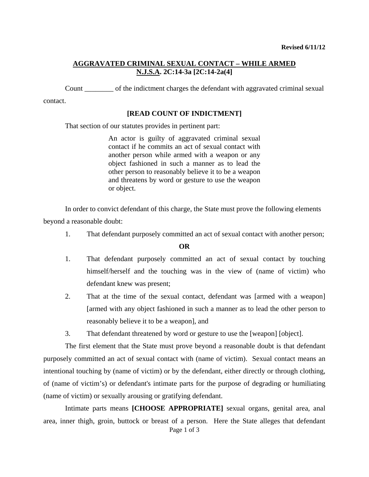# **AGGRAVATED CRIMINAL SEXUAL CONTACT – WHILE ARMED N.J.S.A. 2C:14-3a [2C:14-2a(4]**

Count \_\_\_\_\_\_\_\_ of the indictment charges the defendant with aggravated criminal sexual

contact.

#### **[READ COUNT OF INDICTMENT]**

That section of our statutes provides in pertinent part:

An actor is guilty of aggravated criminal sexual contact if he commits an act of sexual contact with another person while armed with a weapon or any object fashioned in such a manner as to lead the other person to reasonably believe it to be a weapon and threatens by word or gesture to use the weapon or object.

In order to convict defendant of this charge, the State must prove the following elements beyond a reasonable doubt:

1. That defendant purposely committed an act of sexual contact with another person;

**OR** 

- 1. That defendant purposely committed an act of sexual contact by touching himself/herself and the touching was in the view of (name of victim) who defendant knew was present;
- 2. That at the time of the sexual contact, defendant was [armed with a weapon] [armed with any object fashioned in such a manner as to lead the other person to reasonably believe it to be a weapon], and
- 3. That defendant threatened by word or gesture to use the [weapon] [object].

The first element that the State must prove beyond a reasonable doubt is that defendant purposely committed an act of sexual contact with (name of victim). Sexual contact means an intentional touching by (name of victim) or by the defendant, either directly or through clothing, of (name of victim's) or defendant's intimate parts for the purpose of degrading or humiliating (name of victim) or sexually arousing or gratifying defendant.

<span id="page-0-0"></span>Page 1 of 3 Intimate parts means **[CHOOSE APPROPRIATE]** sexual organs, genital area, anal area, inner thigh, groin, buttock or breast of a person. Here the State alleges that defendant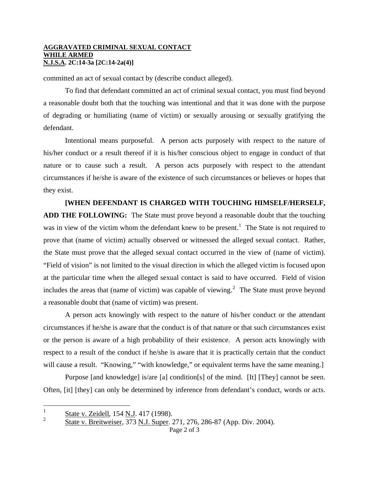#### **AGGRAVATED CRIMINAL SEXUAL CONTACT WHILE ARMED N.J.S.A. 2C:14-3a [2C:14-2a(4)]**

committed an act of sexual contact by (describe conduct alleged).

To find that defendant committed an act of criminal sexual contact, you must find beyond a reasonable doubt both that the touching was intentional and that it was done with the purpose of degrading or humiliating (name of victim) or sexually arousing or sexually gratifying the defendant.

Intentional means purposeful. A person acts purposely with respect to the nature of his/her conduct or a result thereof if it is his/her conscious object to engage in conduct of that nature or to cause such a result. A person acts purposely with respect to the attendant circumstances if he/she is aware of the existence of such circumstances or believes or hopes that they exist.

### **[WHEN DEFENDANT IS CHARGED WITH TOUCHING HIMSELF/HERSELF,**

a reasonable doubt that (name of victim) was present. **ADD THE FOLLOWING:** The State must prove beyond a reasonable doubt that the touching was in view of the victim whom the defendant knew to be present.<sup>[1](#page-0-0)</sup> The State is not required to prove that (name of victim) actually observed or witnessed the alleged sexual contact. Rather, the State must prove that the alleged sexual contact occurred in the view of (name of victim). "Field of vision" is not limited to the visual direction in which the alleged victim is focused upon at the particular time when the alleged sexual contact is said to have occurred. Field of vision includes the areas that (name of victim) was capable of viewing.<sup>[2](#page-1-0)</sup> The State must prove beyond

A person acts knowingly with respect to the nature of his/her conduct or the attendant circumstances if he/she is aware that the conduct is of that nature or that such circumstances exist or the person is aware of a high probability of their existence. A person acts knowingly with respect to a result of the conduct if he/she is aware that it is practically certain that the conduct will cause a result. "Knowing," "with knowledge," or equivalent terms have the same meaning.

Purpose [and knowledge] is/are [a] condition[s] of the mind. [It] [They] cannot be seen. Often, [it] [they] can only be determined by inference from defendant's conduct, words or acts.

 $\frac{1}{1}$ State v. Zeidell, 154 N.J. 417 (1998).

<span id="page-1-1"></span><span id="page-1-0"></span> $\mathfrak{D}$ State v. Breitweiser, 373 N.J. Super. 271, 276, 286-87 (App. Div. 2004).